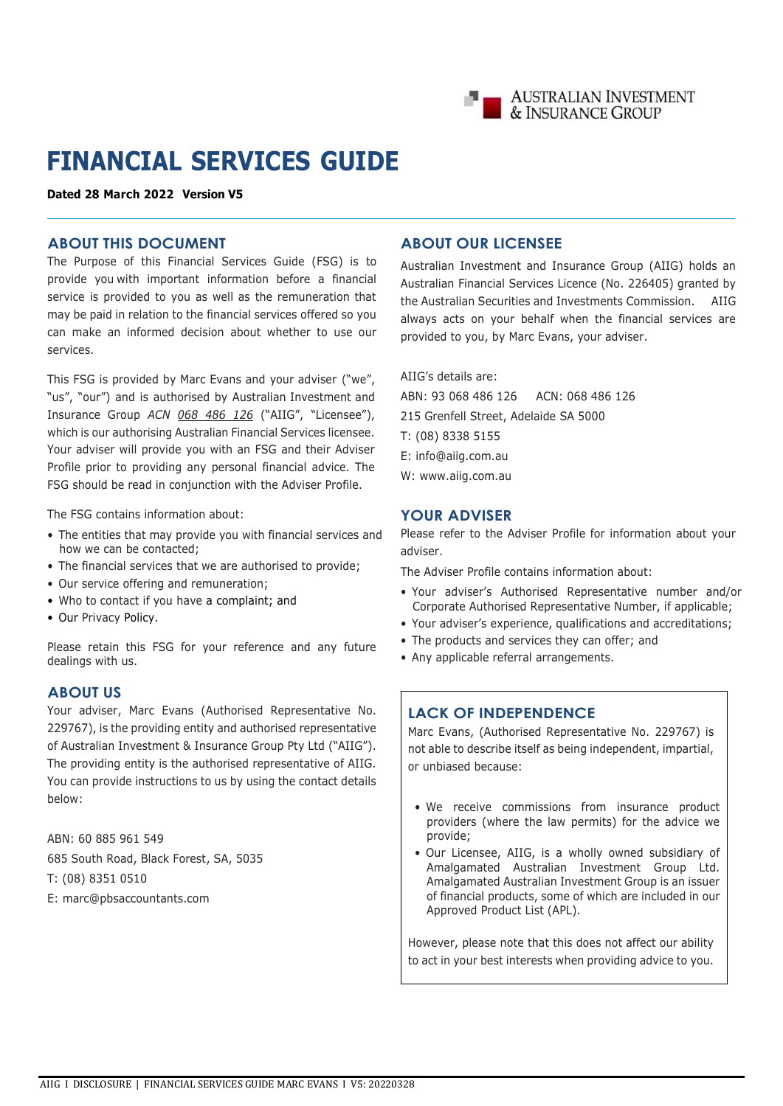

# **FINANCIAL SERVICES GUIDE**

**Dated 28 March 2022 Version V5**

### **ABOUT THIS DOCUMENT**

The Purpose of this Financial Services Guide (FSG) is to provide you with important information before a financial service is provided to you as well as the remuneration that may be paid in relation to the financial services offered so you can make an informed decision about whether to use our services.

This FSG is provided by Marc Evans and your adviser ("we", "us", "our") and is authorised by Australian Investment and Insurance Group *ACN 068 486 126* ("AIIG", "Licensee"), which is our authorising Australian Financial Services licensee. Your adviser will provide you with an FSG and their Adviser Profile prior to providing any personal financial advice. The FSG should be read in conjunction with the Adviser Profile.

The FSG contains information about:

- The entities that may provide you with financial services and how we can be contacted;
- The financial services that we are authorised to provide;
- Our service offering and remuneration;
- Who to contact if you have a complaint; and
- Our Privacy Policy.

Please retain this FSG for your reference and any future dealings with us.

### **ABOUT US**

Your adviser, Marc Evans (Authorised Representative No. 229767), is the providing entity and authorised representative of Australian Investment & Insurance Group Pty Ltd ("AIIG"). The providing entity is the authorised representative of AIIG. You can provide instructions to us by using the contact details below:

ABN: 60 885 961 549 685 South Road, Black Forest, SA, 5035 T: (08) 8351 0510 E: marc@pbsaccountants.com

### **ABOUT OUR LICENSEE**

Australian Investment and Insurance Group (AIIG) holds an Australian Financial Services Licence (No. 226405) granted by the Australian Securities and Investments Commission. AIIG always acts on your behalf when the financial services are provided to you, by Marc Evans, your adviser.

AIIG's details are:

ABN: 93 068 486 126 ACN: 068 486 126 215 Grenfell Street, Adelaide SA 5000 T: (08) 8338 5155 E: [info@aiig.com.au](mailto:info@aiig.com.au)  W: www.aiig.com.au

### **YOUR ADVISER**

Please refer to the Adviser Profile for information about your adviser.

The Adviser Profile contains information about:

- Your adviser's Authorised Representative number and/or Corporate Authorised Representative Number, if applicable;
- Your adviser's experience, qualifications and accreditations;
- The products and services they can offer; and
- Any applicable referral arrangements.

# **LACK OF INDEPENDENCE**

Marc Evans, (Authorised Representative No. 229767) is not able to describe itself as being independent, impartial, or unbiased because:

- We receive commissions from insurance product providers (where the law permits) for the advice we provide;
- Our Licensee, AIIG, is a wholly owned subsidiary of Amalgamated Australian Investment Group Ltd. Amalgamated Australian Investment Group is an issuer of financial products, some of which are included in our Approved Product List (APL).

However, please note that this does not affect our ability to act in your best interests when providing advice to you.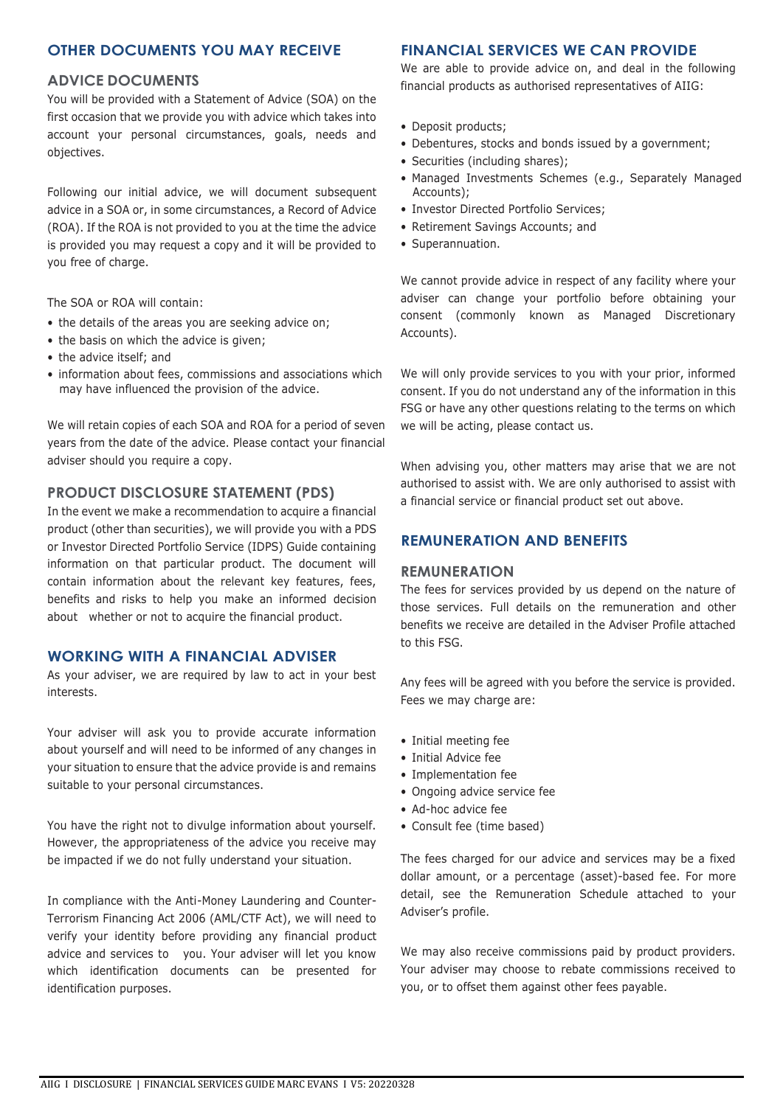### **OTHER DOCUMENTS YOU MAY RECEIVE**

### **ADVICE DOCUMENTS**

You will be provided with a Statement of Advice (SOA) on the first occasion that we provide you with advice which takes into account your personal circumstances, goals, needs and objectives.

Following our initial advice, we will document subsequent advice in a SOA or, in some circumstances, a Record of Advice (ROA). If the ROA is not provided to you at the time the advice is provided you may request a copy and it will be provided to you free of charge.

The SOA or ROA will contain:

- the details of the areas you are seeking advice on;
- the basis on which the advice is given;
- the advice itself; and
- information about fees, commissions and associations which may have influenced the provision of the advice.

We will retain copies of each SOA and ROA for a period of seven years from the date of the advice. Please contact your financial adviser should you require a copy.

### **PRODUCT DISCLOSURE STATEMENT (PDS)**

In the event we make a recommendation to acquire a financial product (other than securities), we will provide you with a PDS or Investor Directed Portfolio Service (IDPS) Guide containing information on that particular product. The document will contain information about the relevant key features, fees, benefits and risks to help you make an informed decision about whether or not to acquire the financial product.

### **WORKING WITH A FINANCIAL ADVISER**

As your adviser, we are required by law to act in your best interests.

Your adviser will ask you to provide accurate information about yourself and will need to be informed of any changes in your situation to ensure that the advice provide is and remains suitable to your personal circumstances.

You have the right not to divulge information about yourself. However, the appropriateness of the advice you receive may be impacted if we do not fully understand your situation.

In compliance with the Anti-Money Laundering and Counter-Terrorism Financing Act 2006 (AML/CTF Act), we will need to verify your identity before providing any financial product advice and services to you. Your adviser will let you know which identification documents can be presented for identification purposes.

### **FINANCIAL SERVICES WE CAN PROVIDE**

We are able to provide advice on, and deal in the following financial products as authorised representatives of AIIG:

- Deposit products;
- Debentures, stocks and bonds issued by a government;
- Securities (including shares);
- Managed Investments Schemes (e.g., Separately Managed Accounts);
- Investor Directed Portfolio Services;
- Retirement Savings Accounts; and
- Superannuation.

We cannot provide advice in respect of any facility where your adviser can change your portfolio before obtaining your consent (commonly known as Managed Discretionary Accounts).

We will only provide services to you with your prior, informed consent. If you do not understand any of the information in this FSG or have any other questions relating to the terms on which we will be acting, please contact us.

When advising you, other matters may arise that we are not authorised to assist with. We are only authorised to assist with a financial service or financial product set out above.

# **REMUNERATION AND BENEFITS**

### **REMUNERATION**

The fees for services provided by us depend on the nature of those services. Full details on the remuneration and other benefits we receive are detailed in the Adviser Profile attached to this FSG.

Any fees will be agreed with you before the service is provided. Fees we may charge are:

- Initial meeting fee
- Initial Advice fee
- Implementation fee
- Ongoing advice service fee
- Ad-hoc advice fee
- Consult fee (time based)

The fees charged for our advice and services may be a fixed dollar amount, or a percentage (asset)-based fee. For more detail, see the Remuneration Schedule attached to your Adviser's profile.

We may also receive commissions paid by product providers. Your adviser may choose to rebate commissions received to you, or to offset them against other fees payable.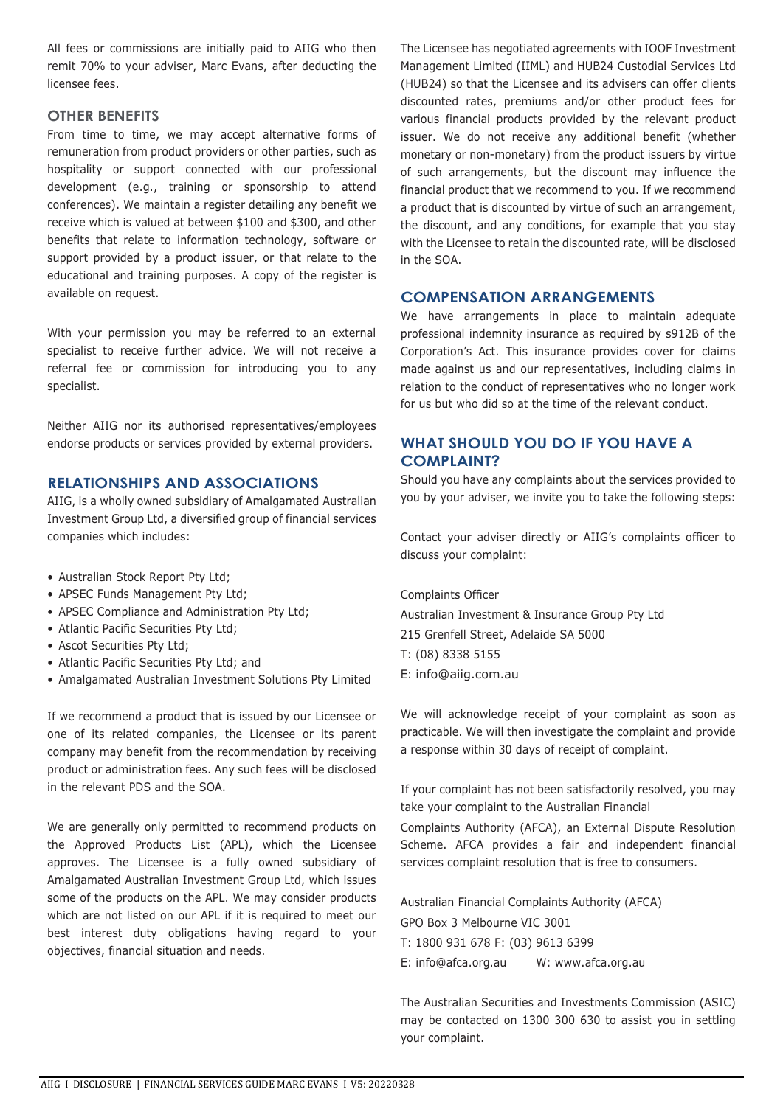All fees or commissions are initially paid to AIIG who then remit 70% to your adviser, Marc Evans, after deducting the licensee fees.

### **OTHER BENEFITS**

From time to time, we may accept alternative forms of remuneration from product providers or other parties, such as hospitality or support connected with our professional development (e.g., training or sponsorship to attend conferences). We maintain a register detailing any benefit we receive which is valued at between \$100 and \$300, and other benefits that relate to information technology, software or support provided by a product issuer, or that relate to the educational and training purposes. A copy of the register is available on request.

With your permission you may be referred to an external specialist to receive further advice. We will not receive a referral fee or commission for introducing you to any specialist.

Neither AIIG nor its authorised representatives/employees endorse products or services provided by external providers.

### **RELATIONSHIPS AND ASSOCIATIONS**

AIIG, is a wholly owned subsidiary of Amalgamated Australian Investment Group Ltd, a diversified group of financial services companies which includes:

- Australian Stock Report Pty Ltd;
- APSEC Funds Management Pty Ltd;
- APSEC Compliance and Administration Pty Ltd;
- Atlantic Pacific Securities Pty Ltd;
- Ascot Securities Pty Ltd;
- Atlantic Pacific Securities Pty Ltd; and
- Amalgamated Australian Investment Solutions Pty Limited

If we recommend a product that is issued by our Licensee or one of its related companies, the Licensee or its parent company may benefit from the recommendation by receiving product or administration fees. Any such fees will be disclosed in the relevant PDS and the SOA.

We are generally only permitted to recommend products on the Approved Products List (APL), which the Licensee approves. The Licensee is a fully owned subsidiary of Amalgamated Australian Investment Group Ltd, which issues some of the products on the APL. We may consider products which are not listed on our APL if it is required to meet our best interest duty obligations having regard to your objectives, financial situation and needs.

The Licensee has negotiated agreements with IOOF Investment Management Limited (IIML) and HUB24 Custodial Services Ltd (HUB24) so that the Licensee and its advisers can offer clients discounted rates, premiums and/or other product fees for various financial products provided by the relevant product issuer. We do not receive any additional benefit (whether monetary or non-monetary) from the product issuers by virtue of such arrangements, but the discount may influence the financial product that we recommend to you. If we recommend a product that is discounted by virtue of such an arrangement, the discount, and any conditions, for example that you stay with the Licensee to retain the discounted rate, will be disclosed in the SOA.

### **COMPENSATION ARRANGEMENTS**

We have arrangements in place to maintain adequate professional indemnity insurance as required by s912B of the Corporation's Act. This insurance provides cover for claims made against us and our representatives, including claims in relation to the conduct of representatives who no longer work for us but who did so at the time of the relevant conduct.

# **WHAT SHOULD YOU DO IF YOU HAVE A COMPLAINT?**

Should you have any complaints about the services provided to you by your adviser, we invite you to take the following steps:

Contact your adviser directly or AIIG's complaints officer to discuss your complaint:

Complaints Officer

Australian Investment & Insurance Group Pty Ltd 215 Grenfell Street, Adelaide SA 5000 T: (08) 8338 5155 E: [info@aiig.com.au](mailto:info@aiig.com.au)

We will acknowledge receipt of your complaint as soon as practicable. We will then investigate the complaint and provide a response within 30 days of receipt of complaint.

If your complaint has not been satisfactorily resolved, you may take your complaint to the Australian Financial

Complaints Authority (AFCA), an External Dispute Resolution Scheme. AFCA provides a fair and independent financial services complaint resolution that is free to consumers.

Australian Financial Complaints Authority (AFCA) GPO Box 3 Melbourne VIC 3001

T: 1800 931 678 F: (03) 9613 6399

E: [info@afca.org.au](mailto:info@afca.org.au) W: [www.afca.org.au](http://www.afca.org.au/)

The Australian Securities and Investments Commission (ASIC) may be contacted on 1300 300 630 to assist you in settling your complaint.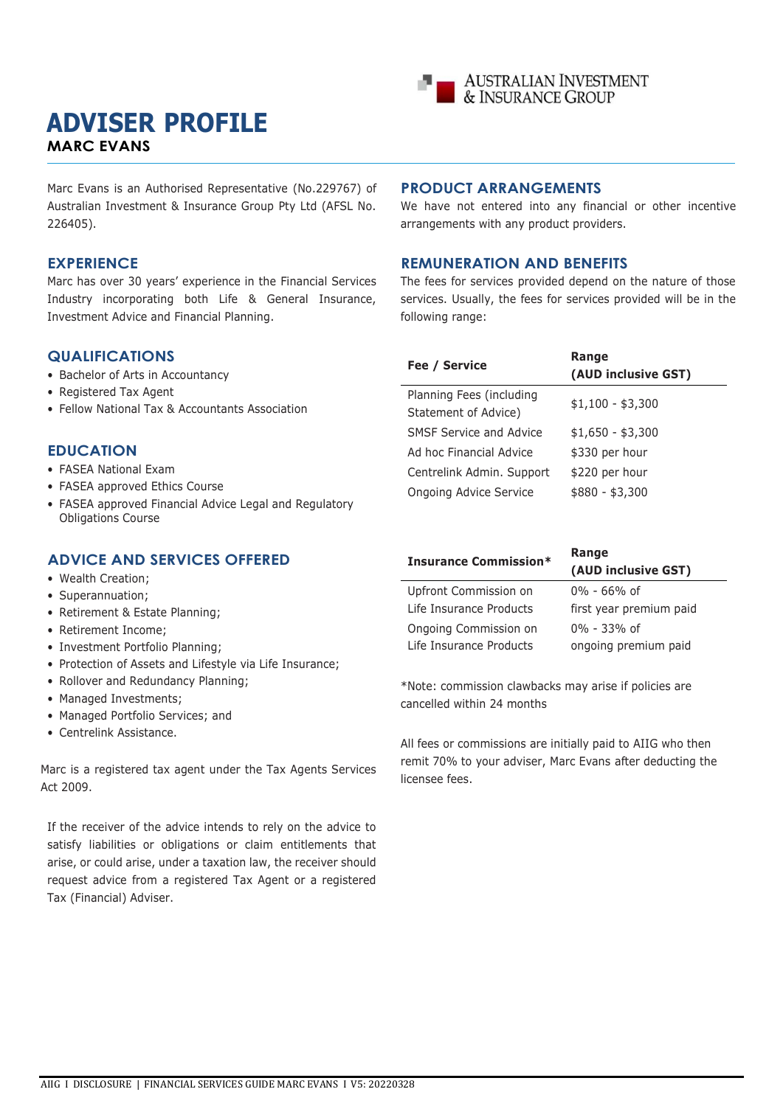# **ADVISER PROFILE MARC EVANS**



Marc Evans is an Authorised Representative (No.229767) of Australian Investment & Insurance Group Pty Ltd (AFSL No. 226405).

### **EXPERIENCE**

Marc has over 30 years' experience in the Financial Services Industry incorporating both Life & General Insurance, Investment Advice and Financial Planning.

### **QUALIFICATIONS**

- Bachelor of Arts in Accountancy
- Registered Tax Agent
- Fellow National Tax & Accountants Association

### **EDUCATION**

- FASEA National Exam
- FASEA approved Ethics Course
- FASEA approved Financial Advice Legal and Regulatory Obligations Course

### **ADVICE AND SERVICES OFFERED**

- Wealth Creation;
- Superannuation;
- Retirement & Estate Planning;
- Retirement Income;
- Investment Portfolio Planning;
- Protection of Assets and Lifestyle via Life Insurance;
- Rollover and Redundancy Planning;
- Managed Investments;
- Managed Portfolio Services; and
- Centrelink Assistance.

Marc is a registered tax agent under the Tax Agents Services Act 2009.

If the receiver of the advice intends to rely on the advice to satisfy liabilities or obligations or claim entitlements that arise, or could arise, under a taxation law, the receiver should request advice from a registered Tax Agent or a registered Tax (Financial) Adviser.

### **PRODUCT ARRANGEMENTS**

We have not entered into any financial or other incentive arrangements with any product providers.

### **REMUNERATION AND BENEFITS**

The fees for services provided depend on the nature of those services. Usually, the fees for services provided will be in the following range:

| Fee / Service                                    | Range<br>(AUD inclusive GST) |
|--------------------------------------------------|------------------------------|
| Planning Fees (including<br>Statement of Advice) | $$1,100 - $3,300$            |
| SMSF Service and Advice                          | $$1,650 - $3,300$            |
| Ad hoc Financial Advice                          | \$330 per hour               |
| Centrelink Admin. Support                        | \$220 per hour               |
| Ongoing Advice Service                           | $$880 - $3,300$              |

| <b>Insurance Commission*</b> | Range<br>(AUD inclusive GST) |
|------------------------------|------------------------------|
| Upfront Commission on        | $0\% - 66\%$ of              |
| Life Insurance Products      | first year premium paid      |
| Ongoing Commission on        | $0\% - 33\%$ of              |
| Life Insurance Products      | ongoing premium paid         |

\*Note: commission clawbacks may arise if policies are cancelled within 24 months

All fees or commissions are initially paid to AIIG who then remit 70% to your adviser, Marc Evans after deducting the licensee fees.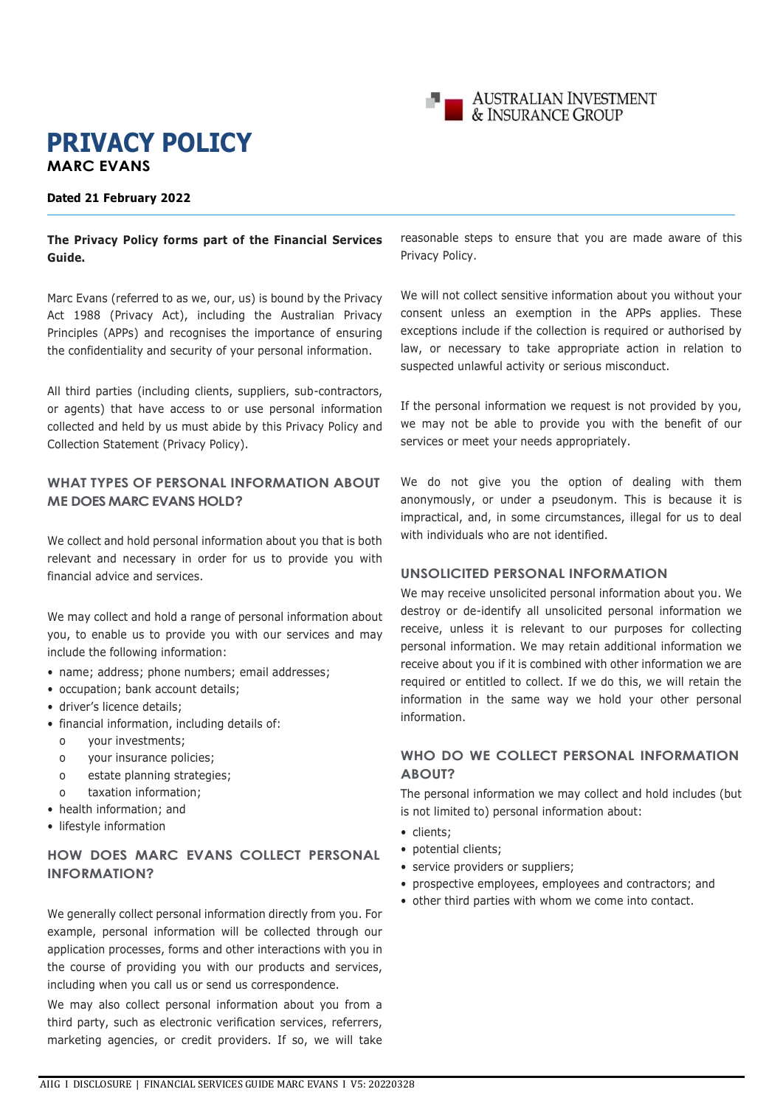

# **PRIVACY POLICY MARC EVANS**

#### **Dated 21 February 2022**

### **The Privacy Policy forms part of the Financial Services Guide.**

Marc Evans (referred to as we, our, us) is bound by the Privacy Act 1988 (Privacy Act), including the Australian Privacy Principles (APPs) and recognises the importance of ensuring the confidentiality and security of your personal information.

All third parties (including clients, suppliers, sub-contractors, or agents) that have access to or use personal information collected and held by us must abide by this Privacy Policy and Collection Statement (Privacy Policy).

### **WHAT TYPES OF PERSONAL INFORMATION ABOUT ME DOES MARC EVANS HOLD?**

We collect and hold personal information about you that is both relevant and necessary in order for us to provide you with financial advice and services.

We may collect and hold a range of personal information about you, to enable us to provide you with our services and may include the following information:

- name; address; phone numbers; email addresses;
- occupation; bank account details;
- driver's licence details;
- financial information, including details of:
	- o your investments;
	- o your insurance policies;
	- o estate planning strategies;
- taxation information;
- health information; and
- lifestyle information

# **HOW DOES MARC EVANS COLLECT PERSONAL INFORMATION?**

We generally collect personal information directly from you. For example, personal information will be collected through our application processes, forms and other interactions with you in the course of providing you with our products and services, including when you call us or send us correspondence.

We may also collect personal information about you from a third party, such as electronic verification services, referrers, marketing agencies, or credit providers. If so, we will take reasonable steps to ensure that you are made aware of this Privacy Policy.

We will not collect sensitive information about you without your consent unless an exemption in the APPs applies. These exceptions include if the collection is required or authorised by law, or necessary to take appropriate action in relation to suspected unlawful activity or serious misconduct.

If the personal information we request is not provided by you, we may not be able to provide you with the benefit of our services or meet your needs appropriately.

We do not give you the option of dealing with them anonymously, or under a pseudonym. This is because it is impractical, and, in some circumstances, illegal for us to deal with individuals who are not identified.

### **UNSOLICITED PERSONAL INFORMATION**

We may receive unsolicited personal information about you. We destroy or de-identify all unsolicited personal information we receive, unless it is relevant to our purposes for collecting personal information. We may retain additional information we receive about you if it is combined with other information we are required or entitled to collect. If we do this, we will retain the information in the same way we hold your other personal information.

# **WHO DO WE COLLECT PERSONAL INFORMATION ABOUT?**

The personal information we may collect and hold includes (but is not limited to) personal information about:

- clients;
- potential clients;
- service providers or suppliers;
- prospective employees, employees and contractors; and
- other third parties with whom we come into contact.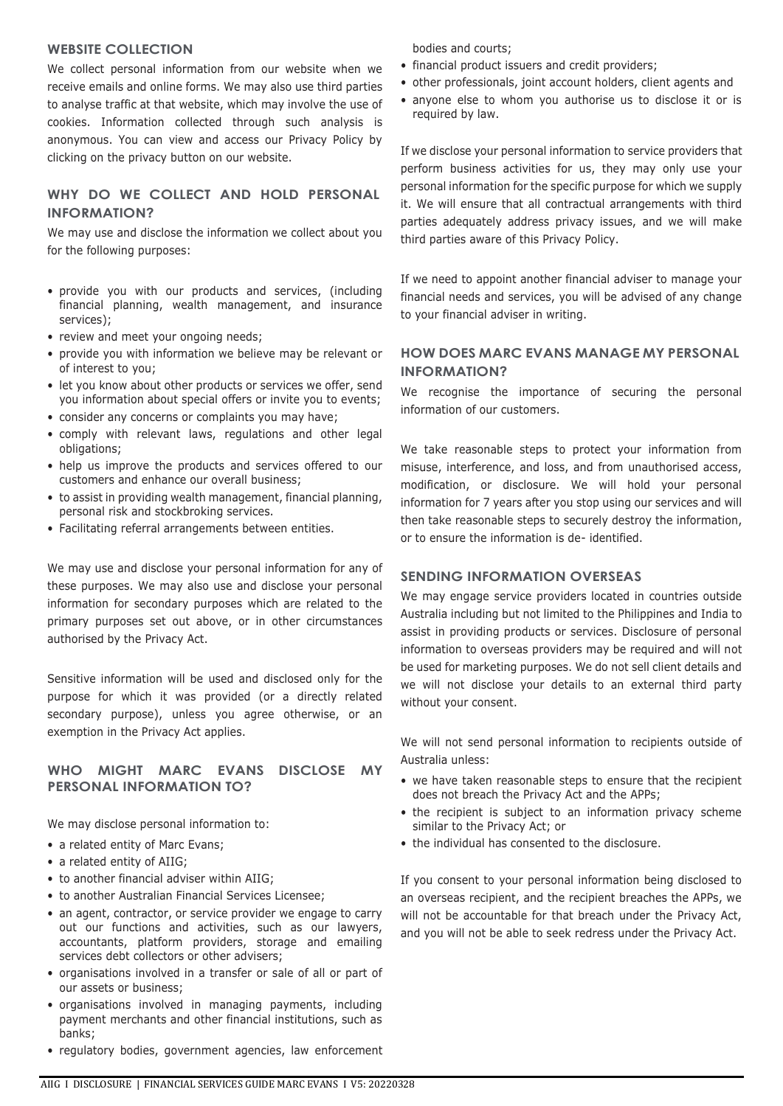### **WEBSITE COLLECTION**

We collect personal information from our website when we receive emails and online forms. We may also use third parties to analyse traffic at that website, which may involve the use of cookies. Information collected through such analysis is anonymous. You can view and access our Privacy Policy by clicking on the privacy button on our website.

# **WHY DO WE COLLECT AND HOLD PERSONAL INFORMATION?**

We may use and disclose the information we collect about you for the following purposes:

- provide you with our products and services, (including financial planning, wealth management, and insurance services);
- review and meet your ongoing needs;
- provide you with information we believe may be relevant or of interest to you;
- let you know about other products or services we offer, send you information about special offers or invite you to events;
- consider any concerns or complaints you may have;
- comply with relevant laws, regulations and other legal obligations;
- help us improve the products and services offered to our customers and enhance our overall business;
- to assist in providing wealth management, financial planning, personal risk and stockbroking services.
- Facilitating referral arrangements between entities.

We may use and disclose your personal information for any of these purposes. We may also use and disclose your personal information for secondary purposes which are related to the primary purposes set out above, or in other circumstances authorised by the Privacy Act.

Sensitive information will be used and disclosed only for the purpose for which it was provided (or a directly related secondary purpose), unless you agree otherwise, or an exemption in the Privacy Act applies.

### **WHO MIGHT MARC EVANS DISCLOSE MY PERSONAL INFORMATION TO?**

We may disclose personal information to:

- a related entity of Marc Evans:
- a related entity of AIIG;
- to another financial adviser within AIIG;
- to another Australian Financial Services Licensee;
- an agent, contractor, or service provider we engage to carry out our functions and activities, such as our lawyers, accountants, platform providers, storage and emailing services debt collectors or other advisers;
- organisations involved in a transfer or sale of all or part of our assets or business;
- organisations involved in managing payments, including payment merchants and other financial institutions, such as banks;
- regulatory bodies, government agencies, law enforcement

bodies and courts;

- financial product issuers and credit providers;
- other professionals, joint account holders, client agents and
- anyone else to whom you authorise us to disclose it or is required by law.

If we disclose your personal information to service providers that perform business activities for us, they may only use your personal information for the specific purpose for which we supply it. We will ensure that all contractual arrangements with third parties adequately address privacy issues, and we will make third parties aware of this Privacy Policy.

If we need to appoint another financial adviser to manage your financial needs and services, you will be advised of any change to your financial adviser in writing.

### **HOW DOES MARC EVANS MANAGE MY PERSONAL INFORMATION?**

We recognise the importance of securing the personal information of our customers.

We take reasonable steps to protect your information from misuse, interference, and loss, and from unauthorised access, modification, or disclosure. We will hold your personal information for 7 years after you stop using our services and will then take reasonable steps to securely destroy the information, or to ensure the information is de- identified.

### **SENDING INFORMATION OVERSEAS**

We may engage service providers located in countries outside Australia including but not limited to the Philippines and India to assist in providing products or services. Disclosure of personal information to overseas providers may be required and will not be used for marketing purposes. We do not sell client details and we will not disclose your details to an external third party without your consent.

We will not send personal information to recipients outside of Australia unless:

- we have taken reasonable steps to ensure that the recipient does not breach the Privacy Act and the APPs;
- the recipient is subject to an information privacy scheme similar to the Privacy Act; or
- the individual has consented to the disclosure.

If you consent to your personal information being disclosed to an overseas recipient, and the recipient breaches the APPs, we will not be accountable for that breach under the Privacy Act, and you will not be able to seek redress under the Privacy Act.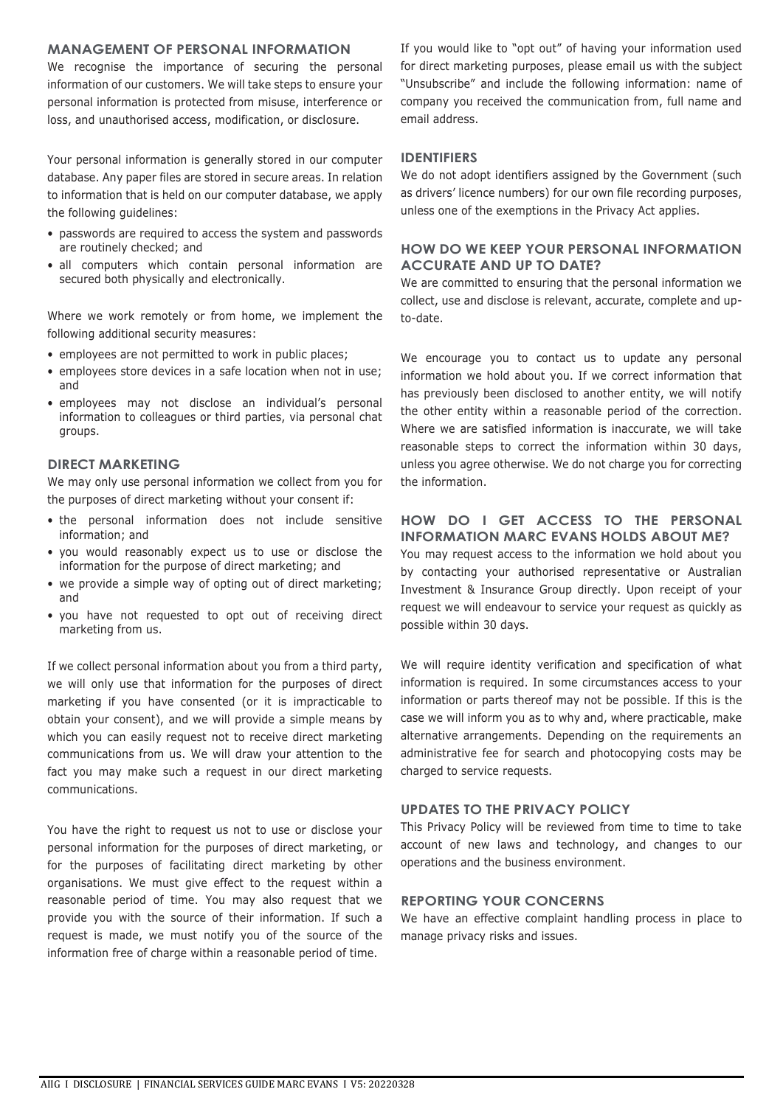### **MANAGEMENT OF PERSONAL INFORMATION**

We recognise the importance of securing the personal information of our customers. We will take steps to ensure your personal information is protected from misuse, interference or loss, and unauthorised access, modification, or disclosure.

Your personal information is generally stored in our computer database. Any paper files are stored in secure areas. In relation to information that is held on our computer database, we apply the following guidelines:

- passwords are required to access the system and passwords are routinely checked; and
- all computers which contain personal information are secured both physically and electronically.

Where we work remotely or from home, we implement the following additional security measures:

- employees are not permitted to work in public places;
- employees store devices in a safe location when not in use; and
- employees may not disclose an individual's personal information to colleagues or third parties, via personal chat groups.

### **DIRECT MARKETING**

We may only use personal information we collect from you for the purposes of direct marketing without your consent if:

- the personal information does not include sensitive information; and
- you would reasonably expect us to use or disclose the information for the purpose of direct marketing; and
- we provide a simple way of opting out of direct marketing; and
- you have not requested to opt out of receiving direct marketing from us.

If we collect personal information about you from a third party, we will only use that information for the purposes of direct marketing if you have consented (or it is impracticable to obtain your consent), and we will provide a simple means by which you can easily request not to receive direct marketing communications from us. We will draw your attention to the fact you may make such a request in our direct marketing communications.

You have the right to request us not to use or disclose your personal information for the purposes of direct marketing, or for the purposes of facilitating direct marketing by other organisations. We must give effect to the request within a reasonable period of time. You may also request that we provide you with the source of their information. If such a request is made, we must notify you of the source of the information free of charge within a reasonable period of time.

If you would like to "opt out" of having your information used for direct marketing purposes, please email us with the subject "Unsubscribe" and include the following information: name of company you received the communication from, full name and email address.

#### **IDENTIFIERS**

We do not adopt identifiers assigned by the Government (such as drivers' licence numbers) for our own file recording purposes, unless one of the exemptions in the Privacy Act applies.

### **HOW DO WE KEEP YOUR PERSONAL INFORMATION ACCURATE AND UP TO DATE?**

We are committed to ensuring that the personal information we collect, use and disclose is relevant, accurate, complete and upto-date.

We encourage you to contact us to update any personal information we hold about you. If we correct information that has previously been disclosed to another entity, we will notify the other entity within a reasonable period of the correction. Where we are satisfied information is inaccurate, we will take reasonable steps to correct the information within 30 days, unless you agree otherwise. We do not charge you for correcting the information.

# **HOW DO I GET ACCESS TO THE PERSONAL INFORMATION MARC EVANS HOLDS ABOUT ME?**

You may request access to the information we hold about you by contacting your authorised representative or Australian Investment & Insurance Group directly. Upon receipt of your request we will endeavour to service your request as quickly as possible within 30 days.

We will require identity verification and specification of what information is required. In some circumstances access to your information or parts thereof may not be possible. If this is the case we will inform you as to why and, where practicable, make alternative arrangements. Depending on the requirements an administrative fee for search and photocopying costs may be charged to service requests.

### **UPDATES TO THE PRIVACY POLICY**

This Privacy Policy will be reviewed from time to time to take account of new laws and technology, and changes to our operations and the business environment.

### **REPORTING YOUR CONCERNS**

We have an effective complaint handling process in place to manage privacy risks and issues.